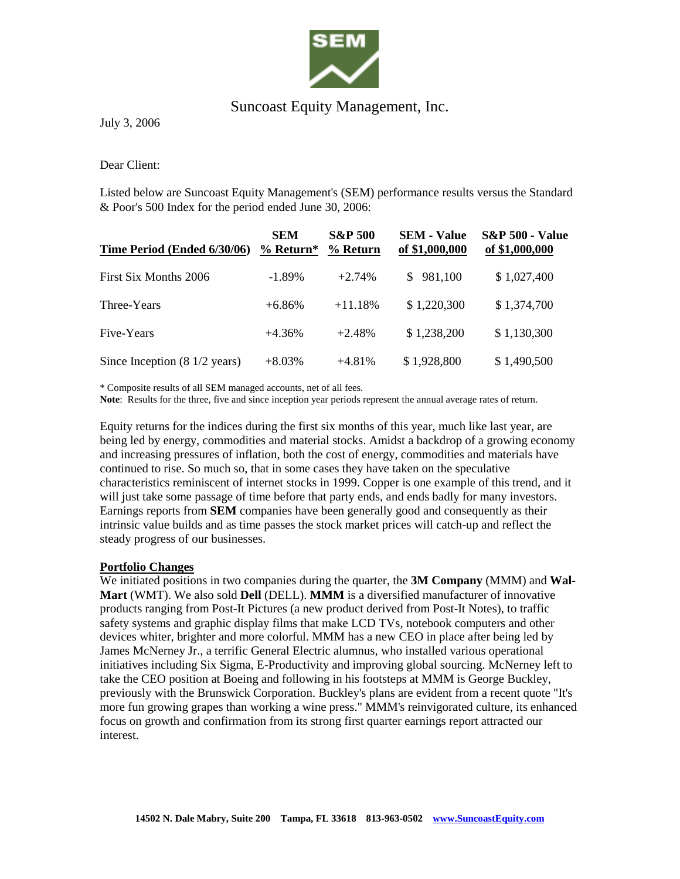

## Suncoast Equity Management, Inc.

July 3, 2006

Dear Client:

Listed below are Suncoast Equity Management's (SEM) performance results versus the Standard & Poor's 500 Index for the period ended June 30, 2006:

| Time Period (Ended 6/30/06)              | <b>SEM</b><br>$%$ Return* | <b>S&amp;P 500</b><br>% Return | <b>SEM - Value</b><br>of \$1,000,000 | <b>S&amp;P 500 - Value</b><br>of \$1,000,000 |
|------------------------------------------|---------------------------|--------------------------------|--------------------------------------|----------------------------------------------|
| First Six Months 2006                    | $-1.89\%$                 | $+2.74%$                       | 981,100<br>S.                        | \$1,027,400                                  |
| Three-Years                              | $+6.86\%$                 | $+11.18\%$                     | \$1,220,300                          | \$1,374,700                                  |
| Five-Years                               | $+4.36%$                  | $+2.48%$                       | \$1,238,200                          | \$1,130,300                                  |
| Since Inception $(8\ 1/2\ \text{years})$ | $+8.03\%$                 | $+4.81%$                       | \$1,928,800                          | \$1,490,500                                  |

\* Composite results of all SEM managed accounts, net of all fees.

**Note**: Results for the three, five and since inception year periods represent the annual average rates of return.

Equity returns for the indices during the first six months of this year, much like last year, are being led by energy, commodities and material stocks. Amidst a backdrop of a growing economy and increasing pressures of inflation, both the cost of energy, commodities and materials have continued to rise. So much so, that in some cases they have taken on the speculative characteristics reminiscent of internet stocks in 1999. Copper is one example of this trend, and it will just take some passage of time before that party ends, and ends badly for many investors. Earnings reports from **SEM** companies have been generally good and consequently as their intrinsic value builds and as time passes the stock market prices will catch-up and reflect the steady progress of our businesses.

## **Portfolio Changes**

We initiated positions in two companies during the quarter, the **3M Company** (MMM) and **Wal-Mart** (WMT). We also sold **Dell** (DELL). **MMM** is a diversified manufacturer of innovative products ranging from Post-It Pictures (a new product derived from Post-It Notes), to traffic safety systems and graphic display films that make LCD TVs, notebook computers and other devices whiter, brighter and more colorful. MMM has a new CEO in place after being led by James McNerney Jr., a terrific General Electric alumnus, who installed various operational initiatives including Six Sigma, E-Productivity and improving global sourcing. McNerney left to take the CEO position at Boeing and following in his footsteps at MMM is George Buckley, previously with the Brunswick Corporation. Buckley's plans are evident from a recent quote "It's more fun growing grapes than working a wine press." MMM's reinvigorated culture, its enhanced focus on growth and confirmation from its strong first quarter earnings report attracted our interest.